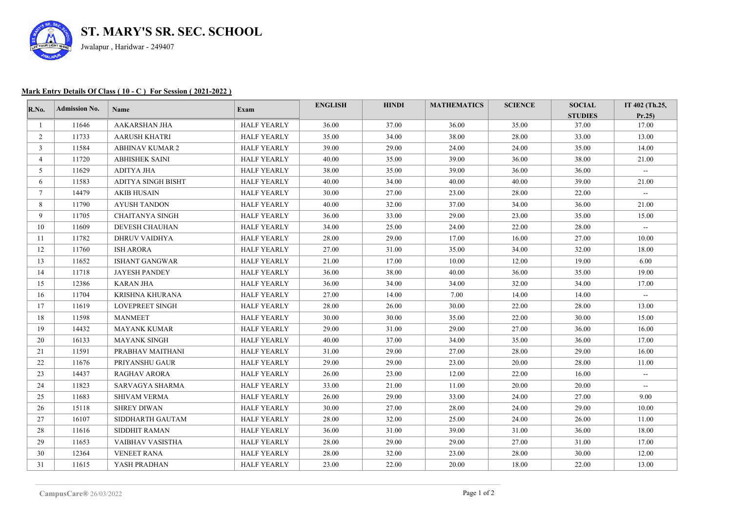

## **Mark Entry Details Of Class ( 10 - C ) For Session ( 2021-2022 )**

| $\mathbf{R}.\mathbf{No}$ . | <b>Admission No.</b> | Name                   | Exam               | <b>ENGLISH</b> | <b>HINDI</b> | <b>MATHEMATICS</b> | <b>SCIENCE</b> | <b>SOCIAL</b><br><b>STUDIES</b> | IT 402 (Th.25,<br>Pr.25 |
|----------------------------|----------------------|------------------------|--------------------|----------------|--------------|--------------------|----------------|---------------------------------|-------------------------|
|                            | 11646                | <b>AAKARSHAN JHA</b>   | <b>HALF YEARLY</b> | 36.00          | 37.00        | 36.00              | 35.00          | 37.00                           | 17.00                   |
| 2                          | 11733                | <b>AARUSH KHATRI</b>   | <b>HALF YEARLY</b> | 35.00          | 34.00        | 38.00              | 28.00          | 33.00                           | 13.00                   |
| 3                          | 11584                | <b>ABHINAV KUMAR 2</b> | <b>HALF YEARLY</b> | 39.00          | 29.00        | 24.00              | 24.00          | 35.00                           | 14.00                   |
| 4                          | 11720                | <b>ABHISHEK SAINI</b>  | <b>HALF YEARLY</b> | 40.00          | 35.00        | 39.00              | 36.00          | 38.00                           | 21.00                   |
| 5                          | 11629                | ADITYA JHA             | <b>HALF YEARLY</b> | 38.00          | 35.00        | 39.00              | 36.00          | 36.00                           | $\sim$                  |
| 6                          | 11583                | ADITYA SINGH BISHT     | <b>HALF YEARLY</b> | 40.00          | 34.00        | 40.00              | 40.00          | 39.00                           | 21.00                   |
| $\tau$                     | 14479                | <b>AKIB HUSAIN</b>     | HALF YEARLY        | 30.00          | 27.00        | 23.00              | 28.00          | 22.00                           | $\sim$                  |
| 8                          | 11790                | AYUSH TANDON           | HALF YEARLY        | 40.00          | 32.00        | 37.00              | 34.00          | 36.00                           | 21.00                   |
| 9                          | 11705                | CHAITANYA SINGH        | HALF YEARLY        | 36.00          | 33.00        | 29.00              | 23.00          | 35.00                           | 15.00                   |
| 10                         | 11609                | <b>DEVESH CHAUHAN</b>  | <b>HALF YEARLY</b> | 34.00          | 25.00        | 24.00              | 22.00          | 28.00                           | $\sim$                  |
| 11                         | 11782                | <b>DHRUV VAIDHYA</b>   | <b>HALF YEARLY</b> | 28.00          | 29.00        | 17.00              | 16.00          | 27.00                           | 10.00                   |
| 12                         | 11760                | <b>ISH ARORA</b>       | <b>HALF YEARLY</b> | 27.00          | 31.00        | 35.00              | 34.00          | 32.00                           | 18.00                   |
| 13                         | 11652                | <b>ISHANT GANGWAR</b>  | <b>HALF YEARLY</b> | 21.00          | 17.00        | 10.00              | 12.00          | 19.00                           | 6.00                    |
| 14                         | 11718                | <b>JAYESH PANDEY</b>   | <b>HALF YEARLY</b> | 36.00          | 38.00        | 40.00              | 36.00          | 35.00                           | 19.00                   |
| 15                         | 12386                | <b>KARAN JHA</b>       | HALF YEARLY        | 36.00          | 34.00        | 34.00              | 32.00          | 34.00                           | 17.00                   |
| 16                         | 11704                | KRISHNA KHURANA        | HALF YEARLY        | 27.00          | 14.00        | 7.00               | 14.00          | 14.00                           | $\sim$                  |
| 17                         | 11619                | <b>LOVEPREET SINGH</b> | <b>HALF YEARLY</b> | 28.00          | 26.00        | 30.00              | 22.00          | 28.00                           | 13.00                   |
| 18                         | 11598                | <b>MANMEET</b>         | <b>HALF YEARLY</b> | 30.00          | 30.00        | 35.00              | 22.00          | 30.00                           | 15.00                   |
| 19                         | 14432                | <b>MAYANK KUMAR</b>    | <b>HALF YEARLY</b> | 29.00          | 31.00        | 29.00              | 27.00          | 36.00                           | 16.00                   |
| 20                         | 16133                | <b>MAYANK SINGH</b>    | <b>HALF YEARLY</b> | 40.00          | 37.00        | 34.00              | 35.00          | 36.00                           | 17.00                   |
| 21                         | 11591                | PRABHAV MAITHANI       | <b>HALF YEARLY</b> | 31.00          | 29.00        | 27.00              | 28.00          | 29.00                           | 16.00                   |
| 22                         | 11676                | PRIYANSHU GAUR         | <b>HALF YEARLY</b> | 29.00          | 29.00        | 23.00              | 20.00          | 28.00                           | 11.00                   |
| 23                         | 14437                | <b>RAGHAV ARORA</b>    | HALF YEARLY        | 26.00          | 23.00        | 12.00              | 22.00          | 16.00                           | $\sim$                  |
| 24                         | 11823                | SARVAGYA SHARMA        | <b>HALF YEARLY</b> | 33.00          | 21.00        | 11.00              | 20.00          | 20.00                           | $\sim$                  |
| 25                         | 11683                | <b>SHIVAM VERMA</b>    | <b>HALF YEARLY</b> | 26.00          | 29.00        | 33.00              | 24.00          | 27.00                           | 9.00                    |
| 26                         | 15118                | <b>SHREY DIWAN</b>     | <b>HALF YEARLY</b> | 30.00          | 27.00        | 28.00              | 24.00          | 29.00                           | 10.00                   |
| 27                         | 16107                | SIDDHARTH GAUTAM       | <b>HALF YEARLY</b> | 28.00          | 32.00        | 25.00              | 24.00          | 26.00                           | 11.00                   |
| 28                         | 11616                | SIDDHIT RAMAN          | <b>HALF YEARLY</b> | 36.00          | 31.00        | 39.00              | 31.00          | 36.00                           | 18.00                   |
| 29                         | 11653                | VAIBHAV VASISTHA       | <b>HALF YEARLY</b> | 28.00          | 29.00        | 29.00              | 27.00          | 31.00                           | 17.00                   |
| 30                         | 12364                | <b>VENEET RANA</b>     | <b>HALF YEARLY</b> | 28.00          | 32.00        | 23.00              | 28.00          | 30.00                           | 12.00                   |
| 31                         | 11615                | YASH PRADHAN           | <b>HALF YEARLY</b> | 23.00          | 22.00        | 20.00              | 18.00          | 22.00                           | 13.00                   |